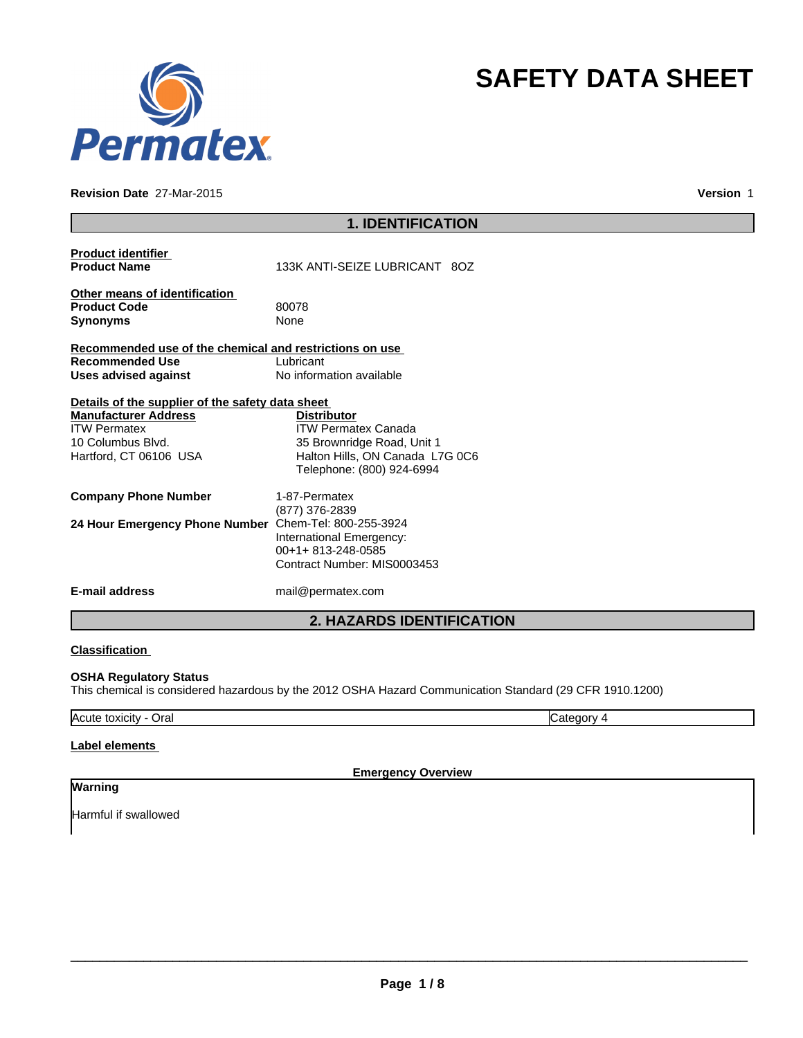

### **Revision Date** 27-Mar-2015

**Version** 1

**SAFETY DATA SHEET**

|                                                                                                                                                       | <b>1. IDENTIFICATION</b>                                                                                                                       |
|-------------------------------------------------------------------------------------------------------------------------------------------------------|------------------------------------------------------------------------------------------------------------------------------------------------|
| <b>Product identifier</b><br><b>Product Name</b>                                                                                                      | 133K ANTI-SEIZE LUBRICANT 80Z                                                                                                                  |
| Other means of identification<br><b>Product Code</b><br><b>Synonyms</b>                                                                               | 80078<br>None                                                                                                                                  |
| Recommended use of the chemical and restrictions on use<br><b>Recommended Use</b><br><b>Uses advised against</b>                                      | Lubricant<br>No information available                                                                                                          |
| Details of the supplier of the safety data sheet<br><b>Manufacturer Address</b><br><b>ITW Permatex</b><br>10 Columbus Blvd.<br>Hartford, CT 06106 USA | <b>Distributor</b><br><b>ITW Permatex Canada</b><br>35 Brownridge Road, Unit 1<br>Halton Hills, ON Canada L7G 0C6<br>Telephone: (800) 924-6994 |
| <b>Company Phone Number</b>                                                                                                                           | 1-87-Permatex                                                                                                                                  |
| 24 Hour Emergency Phone Number                                                                                                                        | (877) 376-2839<br>Chem-Tel: 800-255-3924<br>International Emergency:<br>00+1+813-248-0585<br>Contract Number: MIS0003453                       |
| <b>E-mail address</b>                                                                                                                                 | mail@permatex.com                                                                                                                              |
|                                                                                                                                                       | <b>2. HAZARDS IDENTIFICATION</b>                                                                                                               |

### **Classification**

# **OSHA Regulatory Status**

This chemical is considered hazardous by the 2012 OSHA Hazard Communication Standard (29 CFR 1910.1200)

Acute toxicity - Oral **Category 4 Category 4 Category 4 Category 4** 

# **Label elements**

**Emergency Overview**

# **Warning**

Harmful if swallowed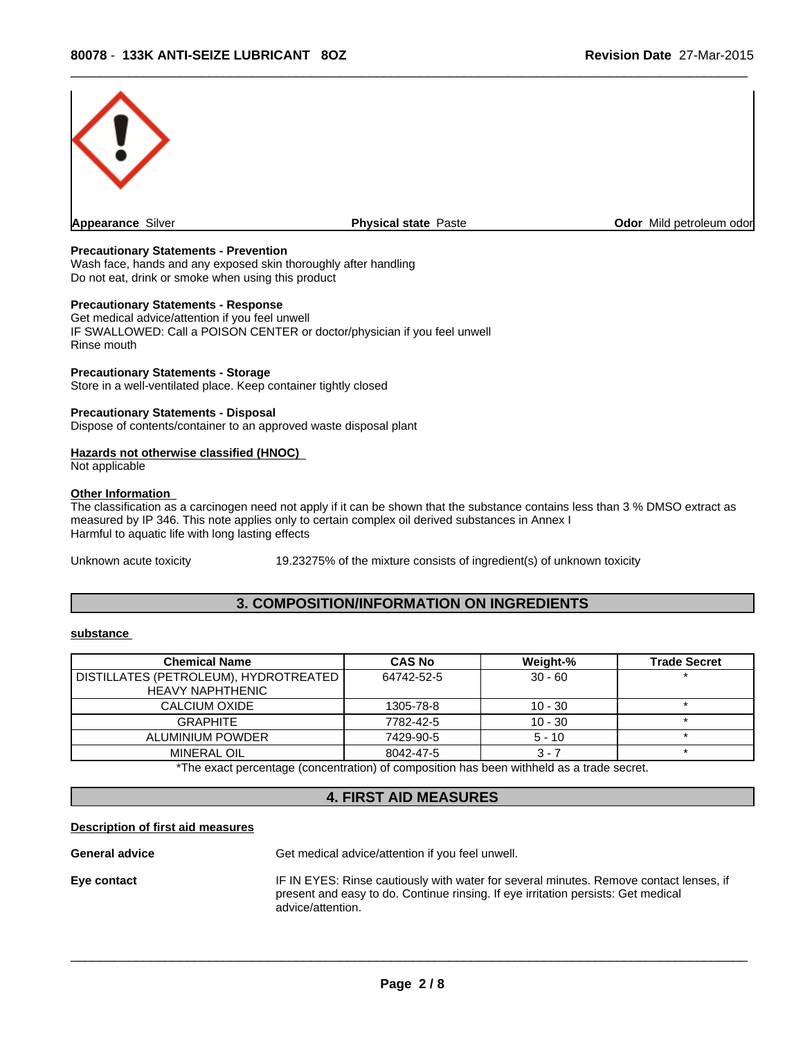

### **Precautionary Statements - Prevention**

Wash face, hands and any exposed skin thoroughly after handling Do not eat, drink or smoke when using this product

### **Precautionary Statements - Response**

Get medical advice/attention if you feel unwell IF SWALLOWED: Call a POISON CENTER or doctor/physician if you feel unwell Rinse mouth

#### **Precautionary Statements - Storage**

Store in a well-ventilated place. Keep container tightly closed

### **Precautionary Statements - Disposal**

Dispose of contents/container to an approved waste disposal plant

### **Hazards not otherwise classified (HNOC)**

Not applicable

#### **Other Information**

The classification as a carcinogen need not apply if it can be shown that the substance contains less than 3 % DMSO extract as measured by IP 346. This note applies only to certain complex oil derived substances in Annex I Harmful to aquatic life with long lasting effects

Unknown acute toxicity 19.23275% of the mixture consists of ingredient(s) of unknown toxicity

# **3. COMPOSITION/INFORMATION ON INGREDIENTS**

### **substance**

| <b>Chemical Name</b>                                               | <b>CAS No</b> | Weight-%  | <b>Trade Secret</b> |
|--------------------------------------------------------------------|---------------|-----------|---------------------|
| DISTILLATES (PETROLEUM), HYDROTREATED  <br><b>HEAVY NAPHTHENIC</b> | 64742-52-5    | $30 - 60$ |                     |
| CALCIUM OXIDE                                                      | 1305-78-8     | $10 - 30$ |                     |
| GRAPHITE                                                           | 7782-42-5     | $10 - 30$ |                     |
| ALUMINIUM POWDER                                                   | 7429-90-5     | $5 - 10$  |                     |
| <b>MINERAL OIL</b>                                                 | 8042-47-5     | 3 - 7     |                     |

\*The exact percentage (concentration) of composition has been withheld as a trade secret.

# **4. FIRST AID MEASURES**

#### **Description of first aid measures**

**General advice** Get medical advice/attention if you feel unwell.

**Eye contact IF IN EYES: Rinse cautiously with water for several minutes. Remove contact lenses, if** present and easy to do. Continue rinsing. If eye irritation persists: Get medical advice/attention.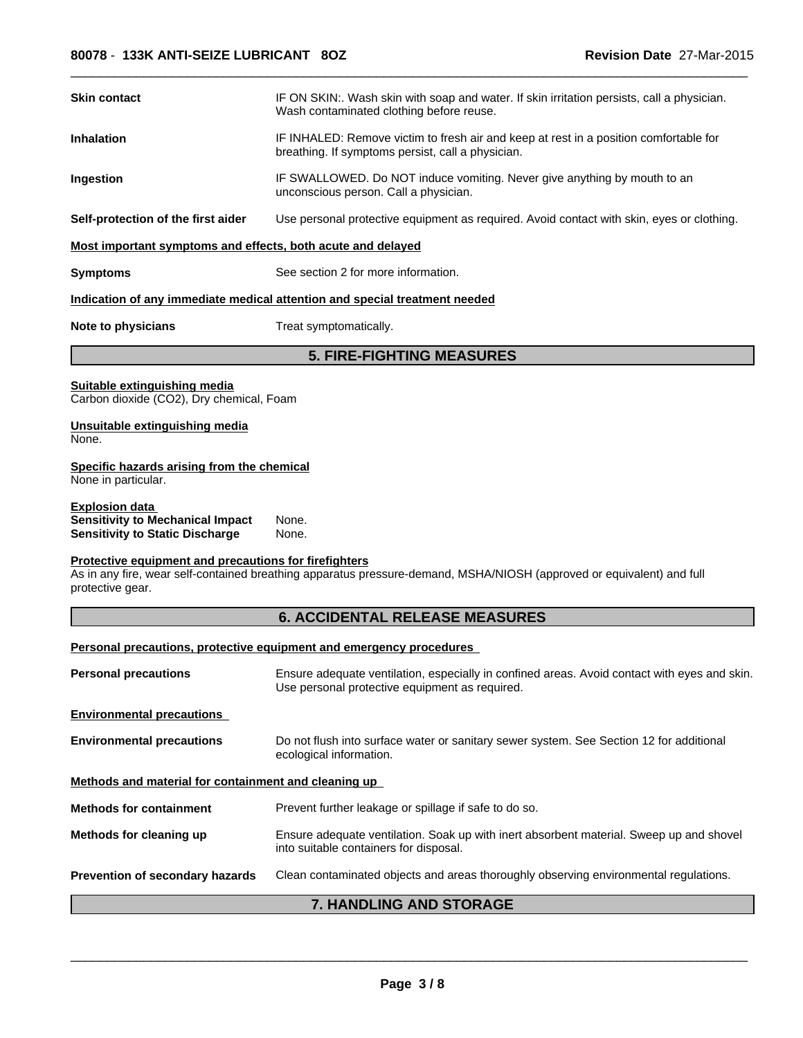| Skin contact                                                                                               | IF ON SKIN:. Wash skin with soap and water. If skin irritation persists, call a physician.<br>Wash contaminated clothing before reuse.         |  |  |  |  |
|------------------------------------------------------------------------------------------------------------|------------------------------------------------------------------------------------------------------------------------------------------------|--|--|--|--|
| Inhalation                                                                                                 | IF INHALED: Remove victim to fresh air and keep at rest in a position comfortable for<br>breathing. If symptoms persist, call a physician.     |  |  |  |  |
| Ingestion                                                                                                  | IF SWALLOWED. Do NOT induce vomiting. Never give anything by mouth to an<br>unconscious person. Call a physician.                              |  |  |  |  |
| Self-protection of the first aider                                                                         | Use personal protective equipment as required. Avoid contact with skin, eyes or clothing.                                                      |  |  |  |  |
| Most important symptoms and effects, both acute and delayed                                                |                                                                                                                                                |  |  |  |  |
| Symptoms                                                                                                   | See section 2 for more information.                                                                                                            |  |  |  |  |
|                                                                                                            | <u>Indication of any immediate medical attention and special treatment needed</u>                                                              |  |  |  |  |
| <b>Note to physicians</b>                                                                                  | Treat symptomatically.                                                                                                                         |  |  |  |  |
|                                                                                                            | <b>5. FIRE-FIGHTING MEASURES</b>                                                                                                               |  |  |  |  |
| Suitable extinguishing media<br>Carbon dioxide (CO2), Dry chemical, Foam                                   |                                                                                                                                                |  |  |  |  |
| Unsuitable extinguishing media<br>None.                                                                    |                                                                                                                                                |  |  |  |  |
| Specific hazards arising from the chemical<br>None in particular.                                          |                                                                                                                                                |  |  |  |  |
| <u>Explosion data</u><br><b>Sensitivity to Mechanical Impact</b><br><b>Sensitivity to Static Discharge</b> | None.<br>None.                                                                                                                                 |  |  |  |  |
| Protective equipment and precautions for firefighters                                                      |                                                                                                                                                |  |  |  |  |
| protective gear.                                                                                           | As in any fire, wear self-contained breathing apparatus pressure-demand, MSHA/NIOSH (approved or equivalent) and full                          |  |  |  |  |
|                                                                                                            | <b>6. ACCIDENTAL RELEASE MEASURES</b>                                                                                                          |  |  |  |  |
|                                                                                                            | Personal precautions, protective equipment and emergency procedures                                                                            |  |  |  |  |
| <b>Personal precautions</b>                                                                                | Ensure adequate ventilation, especially in confined areas. Avoid contact with eyes and skin.<br>Use personal protective equipment as required. |  |  |  |  |
| <b>Environmental precautions</b>                                                                           |                                                                                                                                                |  |  |  |  |
| <b>Environmental precautions</b>                                                                           | Do not flush into surface water or sanitary sewer system. See Section 12 for additional<br>ecological information.                             |  |  |  |  |
| Methods and material for containment and cleaning up                                                       |                                                                                                                                                |  |  |  |  |
| <b>Methods for containment</b>                                                                             | Prevent further leakage or spillage if safe to do so.                                                                                          |  |  |  |  |
| Methods for cleaning up                                                                                    | Ensure adequate ventilation. Soak up with inert absorbent material. Sweep up and shovel<br>into suitable containers for disposal.              |  |  |  |  |
| Prevention of secondary hazards                                                                            | Clean contaminated objects and areas thoroughly observing environmental regulations.                                                           |  |  |  |  |
|                                                                                                            | 7. HANDLING AND STORAGE                                                                                                                        |  |  |  |  |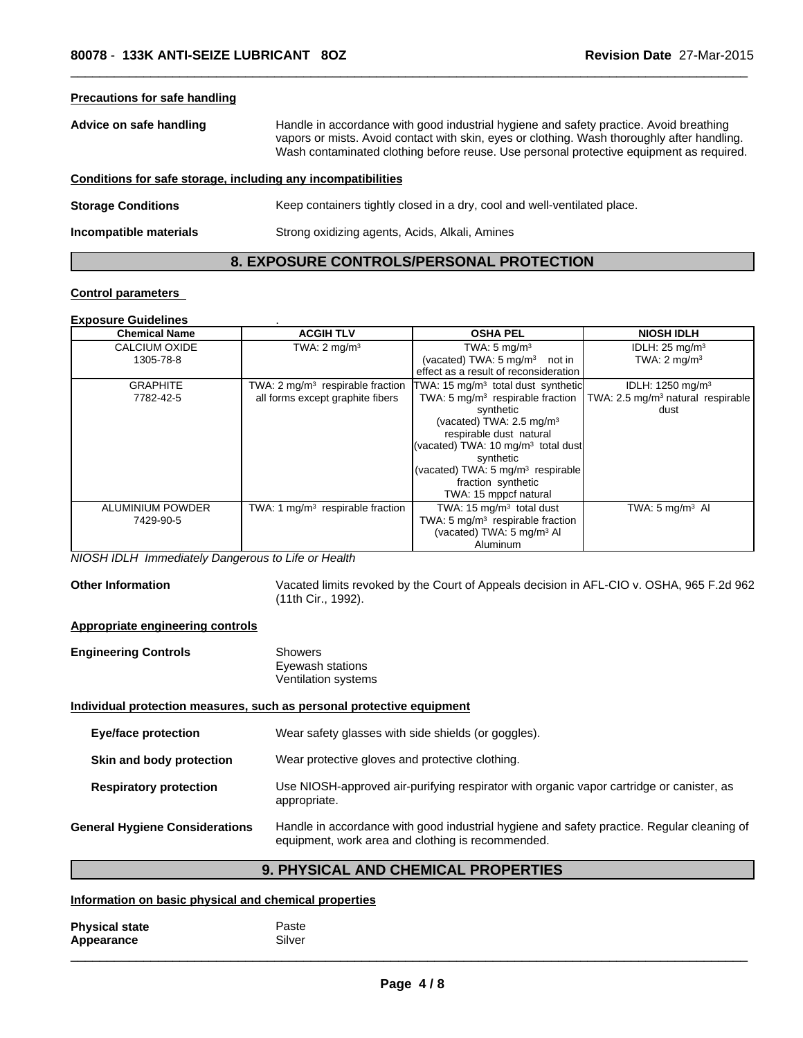| <b>Precautions for safe handling</b>                         |                                                                                                                                                                                                                                                                                  |
|--------------------------------------------------------------|----------------------------------------------------------------------------------------------------------------------------------------------------------------------------------------------------------------------------------------------------------------------------------|
| Advice on safe handling                                      | Handle in accordance with good industrial hygiene and safety practice. Avoid breathing<br>vapors or mists. Avoid contact with skin, eyes or clothing. Wash thoroughly after handling.<br>Wash contaminated clothing before reuse. Use personal protective equipment as required. |
| Conditions for safe storage, including any incompatibilities |                                                                                                                                                                                                                                                                                  |
| <b>Storage Conditions</b>                                    | Keep containers tightly closed in a dry, cool and well-ventilated place.                                                                                                                                                                                                         |
| Incompatible materials                                       | Strong oxidizing agents, Acids, Alkali, Amines                                                                                                                                                                                                                                   |

# **8. EXPOSURE CONTROLS/PERSONAL PROTECTION**

### **Control parameters**

### **Exposure Guidelines** .

| <b>Chemical Name</b> | <b>ACGIH TLV</b>                            | <b>OSHA PEL</b>                                | <b>NIOSH IDLH</b>                             |
|----------------------|---------------------------------------------|------------------------------------------------|-----------------------------------------------|
| CALCIUM OXIDE        | TWA: $2 \text{ mg/m}^3$                     | TWA: $5 \text{ mg/m}^3$                        | IDLH: $25 \text{ mg/m}^3$                     |
| 1305-78-8            |                                             | (vacated) TWA: $5 \text{ mg/m}^3$<br>not in    | TWA: $2 \text{ mg/m}^3$                       |
|                      |                                             | effect as a result of reconsideration          |                                               |
| <b>GRAPHITE</b>      | TWA: $2 \text{ mg/m}^3$ respirable fraction | TWA: 15 mg/m <sup>3</sup> total dust synthetic | IDLH: 1250 mg/m <sup>3</sup>                  |
| 7782-42-5            | all forms except graphite fibers            | TWA: 5 $mq/m3$ respirable fraction             | TWA: 2.5 mg/m <sup>3</sup> natural respirable |
|                      |                                             | synthetic                                      | dust                                          |
|                      |                                             | (vacated) TWA: $2.5 \text{ mg/m}^3$            |                                               |
|                      |                                             | respirable dust natural                        |                                               |
|                      |                                             | (vacated) TWA: 10 $mq/m3$ total dust           |                                               |
|                      |                                             | synthetic                                      |                                               |
|                      |                                             | (vacated) TWA: 5 $mq/m3$ respirable            |                                               |
|                      |                                             | fraction synthetic                             |                                               |
|                      |                                             | TWA: 15 mppcf natural                          |                                               |
| ALUMINIUM POWDER     | TWA: 1 $mg/m3$ respirable fraction          | TWA: 15 $mg/m3$ total dust                     | TWA: $5 \text{ mg/m}^3$ AI                    |
| 7429-90-5            |                                             | TWA: 5 mg/m <sup>3</sup> respirable fraction   |                                               |
|                      |                                             | (vacated) TWA: 5 mg/m <sup>3</sup> Al          |                                               |
|                      |                                             | Aluminum                                       |                                               |

*NIOSH IDLH Immediately Dangerous to Life or Health*

**Other Information** Vacated limits revoked by the Court of Appeals decision in AFL-CIO v. OSHA, 965 F.2d 962 (11th Cir., 1992).

# **Appropriate engineering controls**

| <b>Engineering Controls</b> | <b>Showers</b>      |  |
|-----------------------------|---------------------|--|
|                             | Eyewash stations    |  |
|                             | Ventilation systems |  |

# **Individual protection measures, such as personal protective equipment**

| Eye/face protection                   | Wear safety glasses with side shields (or goggles).                                                                                             |
|---------------------------------------|-------------------------------------------------------------------------------------------------------------------------------------------------|
| Skin and body protection              | Wear protective gloves and protective clothing.                                                                                                 |
| <b>Respiratory protection</b>         | Use NIOSH-approved air-purifying respirator with organic vapor cartridge or canister, as<br>appropriate.                                        |
| <b>General Hygiene Considerations</b> | Handle in accordance with good industrial hygiene and safety practice. Regular cleaning of<br>equipment, work area and clothing is recommended. |

# **9. PHYSICAL AND CHEMICAL PROPERTIES**

# **Information on basic physical and chemical properties**

| <b>Physical state</b> | Paste  |
|-----------------------|--------|
| Appearance            | Silver |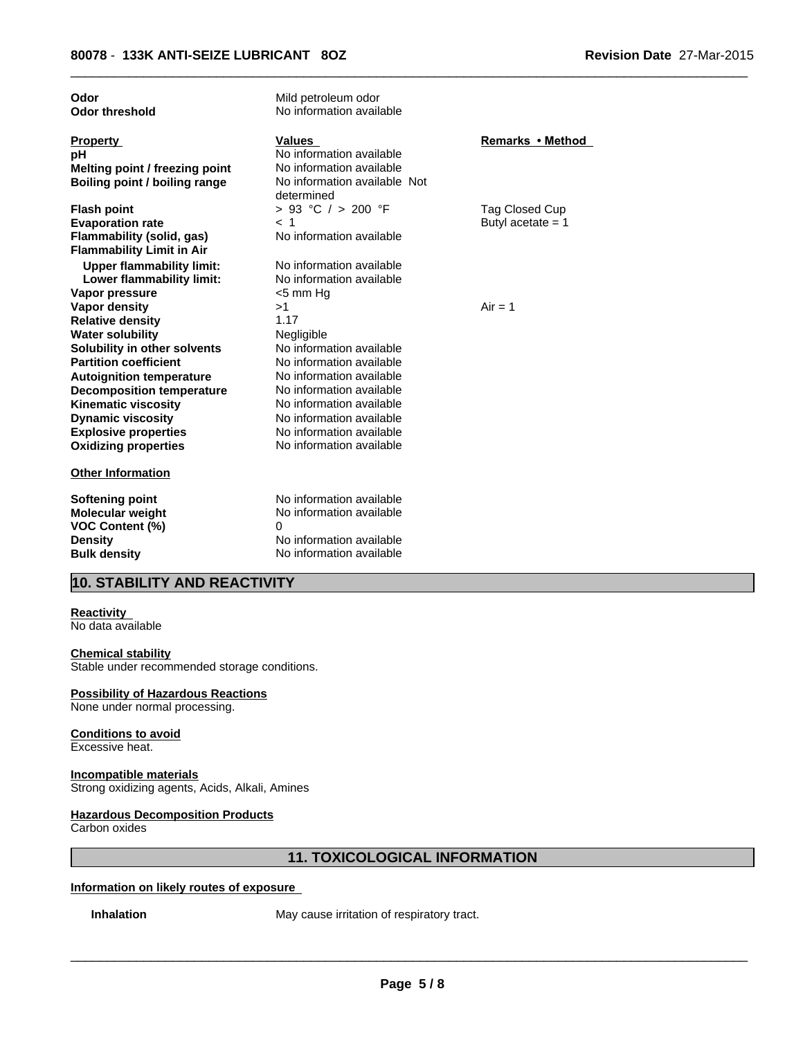| Odor                             | Mild petroleum odor          |                     |
|----------------------------------|------------------------------|---------------------|
| <b>Odor threshold</b>            | No information available     |                     |
|                                  |                              |                     |
| <b>Property</b>                  | <b>Values</b>                | Remarks • Method    |
| рH                               | No information available     |                     |
| Melting point / freezing point   | No information available     |                     |
| Boiling point / boiling range    | No information available Not |                     |
|                                  | determined                   |                     |
| <b>Flash point</b>               | > 93 °C / > 200 °F           | Tag Closed Cup      |
| <b>Evaporation rate</b>          | < 1                          | Butyl acetate $= 1$ |
| Flammability (solid, gas)        | No information available     |                     |
| <b>Flammability Limit in Air</b> |                              |                     |
| <b>Upper flammability limit:</b> | No information available     |                     |
| Lower flammability limit:        | No information available     |                     |
| Vapor pressure                   | <5 mm Hq                     |                     |
| <b>Vapor density</b>             | >1                           | $Air = 1$           |
| <b>Relative density</b>          | 1.17                         |                     |
| <b>Water solubility</b>          | Negligible                   |                     |
| Solubility in other solvents     | No information available     |                     |
| <b>Partition coefficient</b>     | No information available     |                     |
| <b>Autoignition temperature</b>  | No information available     |                     |
| <b>Decomposition temperature</b> | No information available     |                     |
| <b>Kinematic viscosity</b>       | No information available     |                     |
| <b>Dynamic viscosity</b>         | No information available     |                     |
| <b>Explosive properties</b>      | No information available     |                     |
| <b>Oxidizing properties</b>      | No information available     |                     |
| <b>Other Information</b>         |                              |                     |
|                                  |                              |                     |
| <b>Softening point</b>           | No information available     |                     |
| Molecular weight                 | No information available     |                     |
| <b>VOC Content (%)</b>           | 0                            |                     |
| <b>Density</b>                   | No information available     |                     |
| <b>Bulk density</b>              | No information available     |                     |
|                                  |                              |                     |

# **10. STABILITY AND REACTIVITY**

# **Reactivity**

No data available

#### **Chemical stability**

Stable under recommended storage conditions.

### **Possibility of Hazardous Reactions**

None under normal processing.

#### **Conditions to avoid** Excessive heat.

### **Incompatible materials**

Strong oxidizing agents, Acids, Alkali, Amines

# **Hazardous Decomposition Products**

Carbon oxides

# **11. TOXICOLOGICAL INFORMATION**

# **Information on likely routes of exposure**

**Inhalation** May cause irritation of respiratory tract.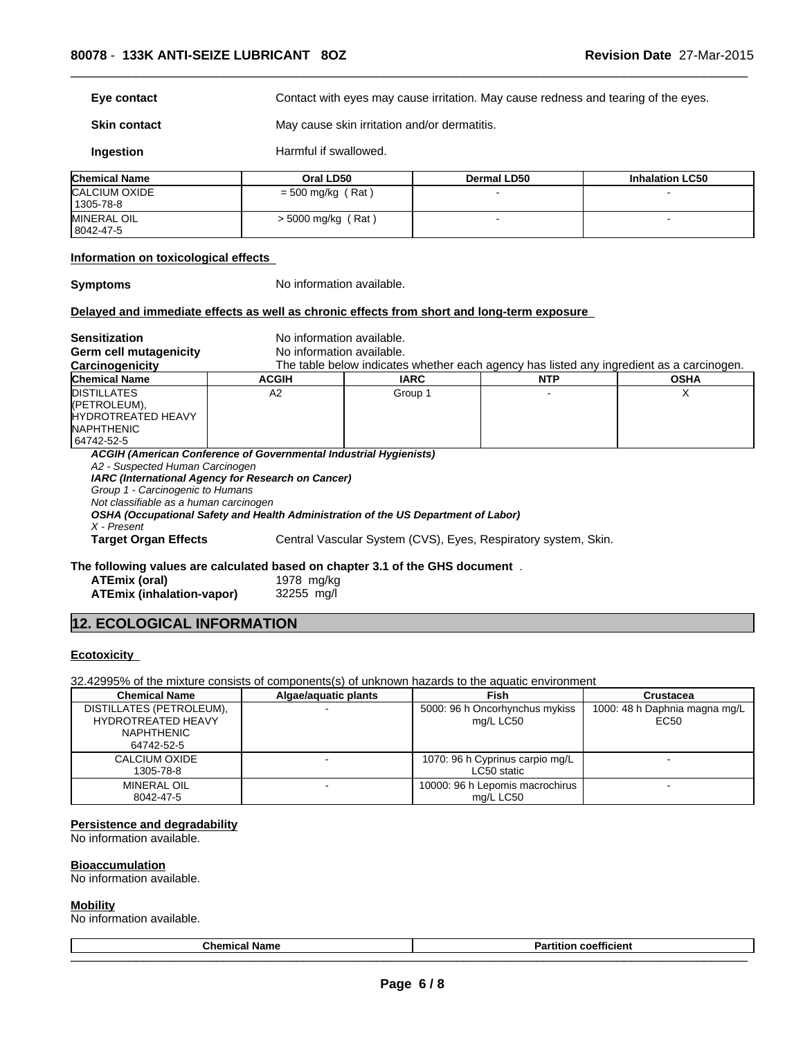**Eye contact** Exercise Contact with eyes may cause irritation. May cause redness and tearing of the eyes.

 $\overline{\phantom{a}}$  ,  $\overline{\phantom{a}}$  ,  $\overline{\phantom{a}}$  ,  $\overline{\phantom{a}}$  ,  $\overline{\phantom{a}}$  ,  $\overline{\phantom{a}}$  ,  $\overline{\phantom{a}}$  ,  $\overline{\phantom{a}}$  ,  $\overline{\phantom{a}}$  ,  $\overline{\phantom{a}}$  ,  $\overline{\phantom{a}}$  ,  $\overline{\phantom{a}}$  ,  $\overline{\phantom{a}}$  ,  $\overline{\phantom{a}}$  ,  $\overline{\phantom{a}}$  ,  $\overline{\phantom{a}}$ 

**Skin contact** May cause skin irritation and/or dermatitis.

**Ingestion** Harmful if swallowed.

| <b>Chemical Name</b> | Oral LD50            | Dermal LD50 | <b>Inhalation LC50</b> |
|----------------------|----------------------|-------------|------------------------|
| CALCIUM OXIDE        | $=$ 500 mg/kg (Rat)  |             |                        |
| 1305-78-8            |                      |             |                        |
| <b>MINERAL OIL</b>   | $>$ 5000 mg/kg (Rat) |             |                        |
| 8042-47-5            |                      |             |                        |

### **Information on toxicological effects**

**Symptoms** No information available.

#### **Delayed and immediate effects as well as chronic effects from short and long-term exposure**

**Sensitization** No information available. **Germ cell mutagenicity** No information available. **Carcinogenicity** The table below indicates whether each agency has listed any ingredient as a carcinogen.<br> **Chemical Name Chemical Name The COCIL CHE THE COCIL THE COCIL COCIL COCIL COCIL COCIL COCIL Chemical Name ACGIH IARC NTP OSHA** DISTILLATES (PETROLEUM), HYDROTREATED HEAVY NAPHTHENIC 64742-52-5 A2 Group 1 - X *ACGIH (American Conference of Governmental Industrial Hygienists) A2 - Suspected Human Carcinogen IARC (International Agency for Research on Cancer) Group 1 - Carcinogenic to Humans Not classifiable as a human carcinogen OSHA (Occupational Safety and Health Administration of the US Department of Labor) X - Present* **Target Organ Effects** Central Vascular System (CVS), Eyes, Respiratory system, Skin. **The following values are calculated based on chapter 3.1 of the GHS document** .

**ATEmix (oral)** 1978 mg/kg

**ATEmix (inhalation-vapor)** 32255 mg/l

# **12. ECOLOGICAL INFORMATION**

#### **Ecotoxicity**

32.42995% of the mixture consists of components(s) of unknown hazards to the aquatic environment

| <b>Chemical Name</b>      | Algae/aquatic plants | <b>Fish</b>                     | Crustacea                     |
|---------------------------|----------------------|---------------------------------|-------------------------------|
| DISTILLATES (PETROLEUM),  |                      | 5000: 96 h Oncorhynchus mykiss  | 1000: 48 h Daphnia magna mg/L |
| <b>HYDROTREATED HEAVY</b> |                      | mg/L LC50                       | EC50                          |
| NAPHTHENIC                |                      |                                 |                               |
| 64742-52-5                |                      |                                 |                               |
| CALCIUM OXIDE             |                      | 1070: 96 h Cyprinus carpio mg/L |                               |
| 1305-78-8                 |                      | LC50 static                     |                               |
| MINERAL OIL               |                      | 10000: 96 h Lepomis macrochirus |                               |
| 8042-47-5                 |                      | mg/L LC50                       |                               |

### **Persistence and degradability**

No information available.

**Bioaccumulation**

# No information available.

### **Mobility**

No information available.

| ∣ Name<br><b>Chemical</b> | ---<br>.<br>coefficient<br>τιτιοπ<br>ан |  |
|---------------------------|-----------------------------------------|--|
| _________                 | _______________<br>_________            |  |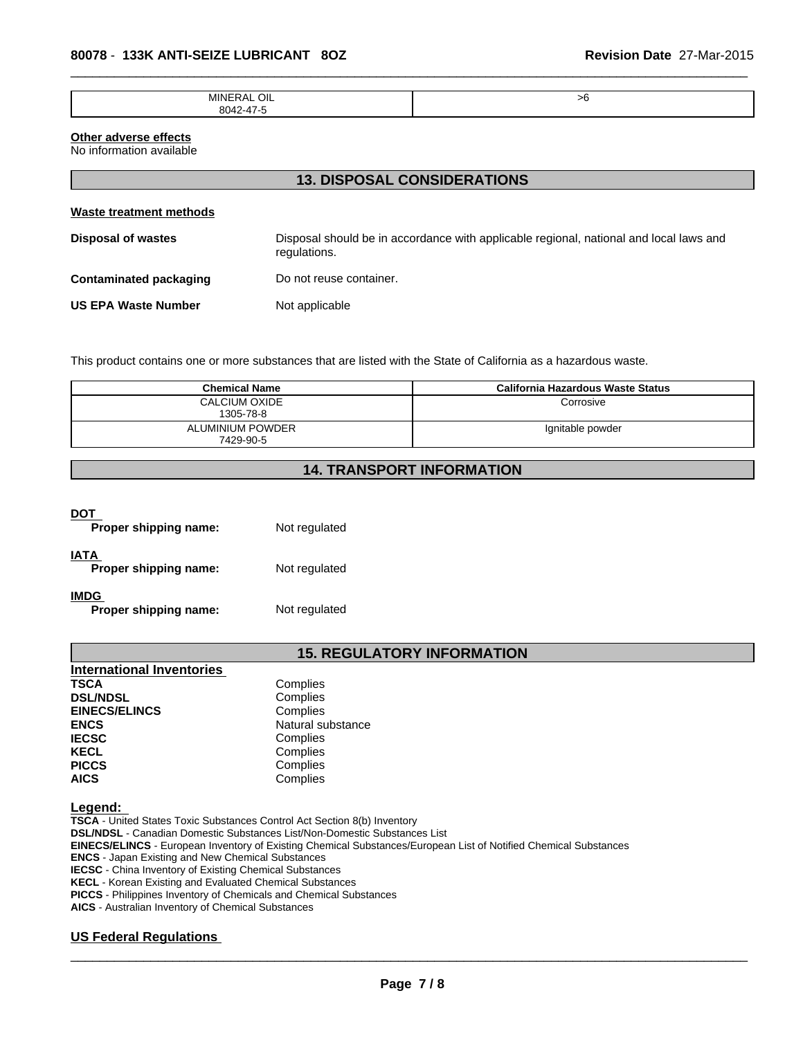| ш<br>AЛ | $-$ |
|---------|-----|
| ״       |     |

### **Other adverse effects**

No information available

# **13. DISPOSAL CONSIDERATIONS**

| Waste treatment methods    |                                                                                                        |
|----------------------------|--------------------------------------------------------------------------------------------------------|
| <b>Disposal of wastes</b>  | Disposal should be in accordance with applicable regional, national and local laws and<br>regulations. |
| Contaminated packaging     | Do not reuse container.                                                                                |
| <b>US EPA Waste Number</b> | Not applicable                                                                                         |

This product contains one or more substances that are listed with the State of California as a hazardous waste.

| <b>Chemical Name</b>              | California Hazardous Waste Status |
|-----------------------------------|-----------------------------------|
| <b>CALCIUM OXIDE</b><br>1305-78-8 | Corrosive                         |
| ALUMINIUM POWDER<br>7429-90-5     | Ignitable powder                  |

# **14. TRANSPORT INFORMATION**

# **DOT**

| Proper shipping name:         | Not regulated |
|-------------------------------|---------------|
| IATA<br>Proper shipping name: | Not regulated |
| IMDG<br>Proper shipping name: | Not regulated |

# **15. REGULATORY INFORMATION**

| <b>International Inventories</b> |                   |
|----------------------------------|-------------------|
| <b>TSCA</b>                      | Complies          |
| <b>DSL/NDSL</b>                  | Complies          |
| <b>EINECS/ELINCS</b>             | Complies          |
| <b>ENCS</b>                      | Natural substance |
| <b>IECSC</b>                     | Complies          |
| <b>KECL</b>                      | Complies          |
| <b>PICCS</b>                     | Complies          |
| <b>AICS</b>                      | Complies          |

#### **Legend:**

**TSCA** - United States Toxic Substances Control Act Section 8(b) Inventory **DSL/NDSL** - Canadian Domestic Substances List/Non-Domestic Substances List **EINECS/ELINCS** - European Inventory of Existing Chemical Substances/European List of Notified Chemical Substances **ENCS** - Japan Existing and New Chemical Substances **IECSC** - China Inventory of Existing Chemical Substances **KECL** - Korean Existing and Evaluated Chemical Substances **PICCS** - Philippines Inventory of Chemicals and Chemical Substances **AICS** - Australian Inventory of Chemical Substances

# **US Federal Regulations**